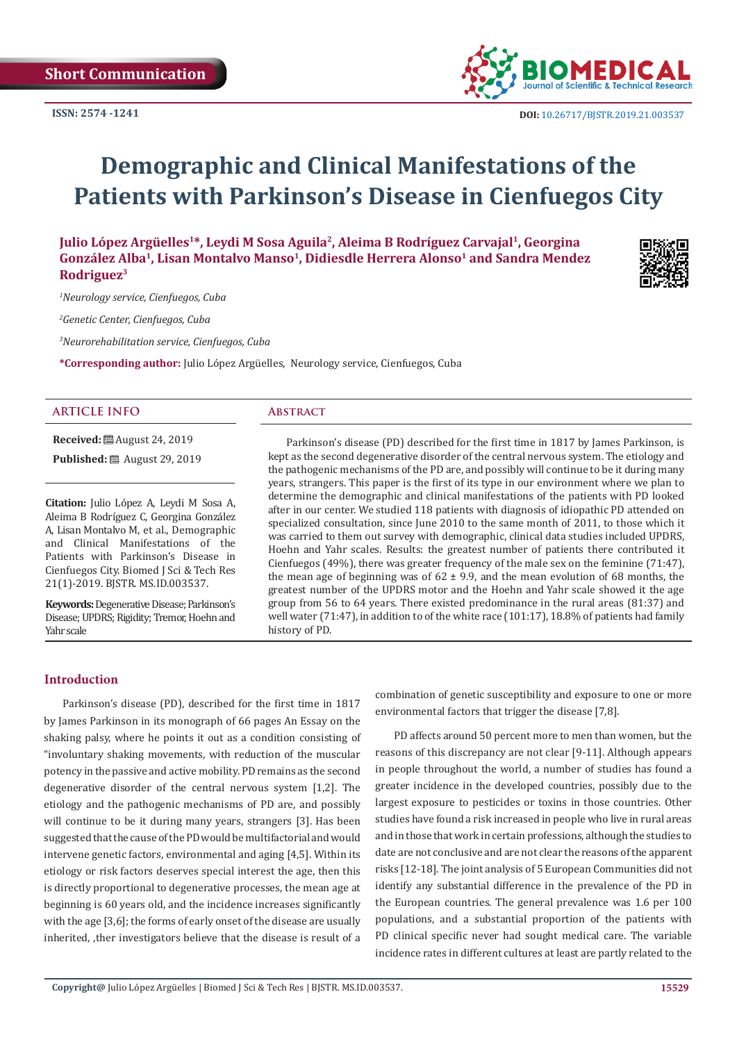

# **Demographic and Clinical Manifestations of the Patients with Parkinson's Disease in Cienfuegos City**

**Julio López Argüelles1\*, Leydi M Sosa Aguila2, Aleima B Rodríguez Carvajal1, Georgina**  González Alba<sup>1</sup>, Lisan Montalvo Manso<sup>1</sup>, Didiesdle Herrera Alonso<sup>1</sup> and Sandra Mendez **Rodriguez3**

*1 Neurology service, Cienfuegos, Cuba*

*2 Genetic Center, Cienfuegos, Cuba*

*3 Neurorehabilitation service, Cienfuegos, Cuba*

**\*Corresponding author:** Julio López Argüelles, Neurology service, Cienfuegos, Cuba

# **ARTICLE INFO Abstract**

**Received:** ■ August 24, 2019

**Published:** ■ August 29, 2019

**Citation:** Julio López A, Leydi M Sosa A, Aleima B Rodríguez C, Georgina González A, Lisan Montalvo M, et al., Demographic and Clinical Manifestations of the Patients with Parkinson's Disease in Cienfuegos City. Biomed J Sci & Tech Res 21(1)-2019. BJSTR. MS.ID.003537.

**Keywords:** Degenerative Disease; Parkinson's Disease; UPDRS; Rigidity; Tremor, Hoehn and Yahr scale

Parkinson's disease (PD) described for the first time in 1817 by James Parkinson, is kept as the second degenerative disorder of the central nervous system. The etiology and the pathogenic mechanisms of the PD are, and possibly will continue to be it during many years, strangers. This paper is the first of its type in our environment where we plan to determine the demographic and clinical manifestations of the patients with PD looked after in our center. We studied 118 patients with diagnosis of idiopathic PD attended on specialized consultation, since June 2010 to the same month of 2011, to those which it was carried to them out survey with demographic, clinical data studies included UPDRS, Hoehn and Yahr scales. Results: the greatest number of patients there contributed it Cienfuegos (49%), there was greater frequency of the male sex on the feminine (71:47), the mean age of beginning was of  $62 \pm 9.9$ , and the mean evolution of 68 months, the greatest number of the UPDRS motor and the Hoehn and Yahr scale showed it the age group from 56 to 64 years. There existed predominance in the rural areas (81:37) and well water (71:47), in addition to of the white race (101:17), 18.8% of patients had family history of PD.

### **Introduction**

Parkinson's disease (PD), described for the first time in 1817 by James Parkinson in its monograph of 66 pages An Essay on the shaking palsy, where he points it out as a condition consisting of "involuntary shaking movements, with reduction of the muscular potency in the passive and active mobility. PD remains as the second degenerative disorder of the central nervous system [1,2]. The etiology and the pathogenic mechanisms of PD are, and possibly will continue to be it during many years, strangers [3]. Has been suggested that the cause of the PD would be multifactorial and would intervene genetic factors, environmental and aging [4,5]. Within its etiology or risk factors deserves special interest the age, then this is directly proportional to degenerative processes, the mean age at beginning is 60 years old, and the incidence increases significantly with the age [3,6]; the forms of early onset of the disease are usually inherited, ,ther investigators believe that the disease is result of a

combination of genetic susceptibility and exposure to one or more environmental factors that trigger the disease [7,8].

PD affects around 50 percent more to men than women, but the reasons of this discrepancy are not clear [9-11]. Although appears in people throughout the world, a number of studies has found a greater incidence in the developed countries, possibly due to the largest exposure to pesticides or toxins in those countries. Other studies have found a risk increased in people who live in rural areas and in those that work in certain professions, although the studies to date are not conclusive and are not clear the reasons of the apparent risks [12-18]. The joint analysis of 5 European Communities did not identify any substantial difference in the prevalence of the PD in the European countries. The general prevalence was 1.6 per 100 populations, and a substantial proportion of the patients with PD clinical specific never had sought medical care. The variable incidence rates in different cultures at least are partly related to the

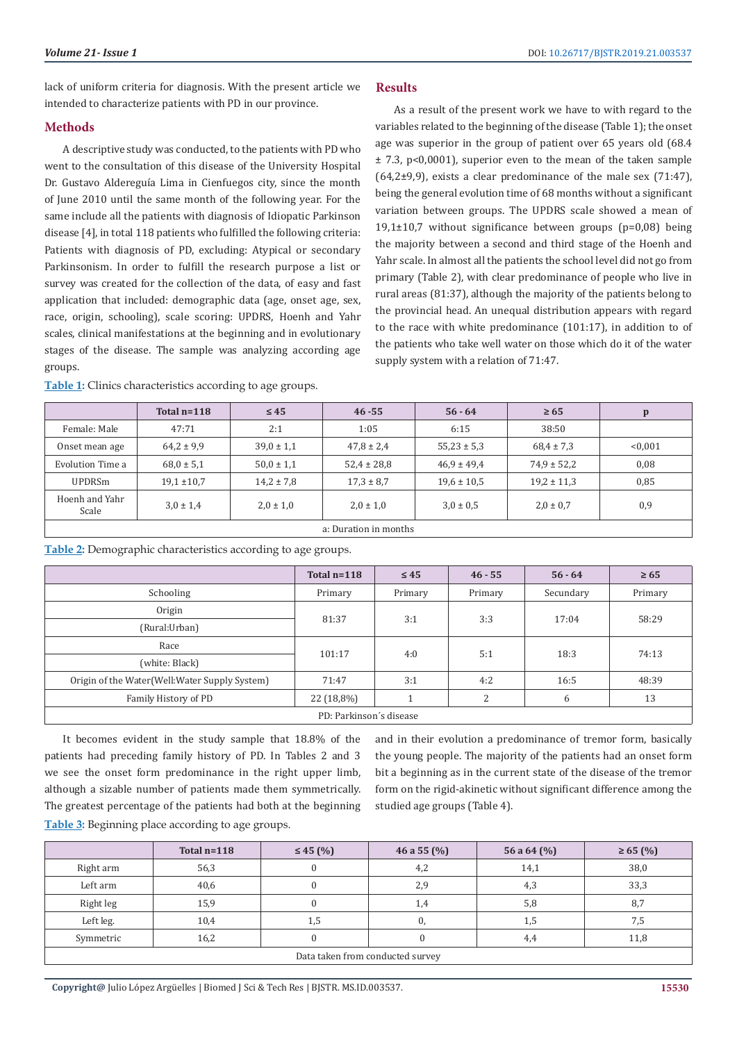As a result of the present work we have to with regard to the variables related to the beginning of the disease (Table 1); the onset age was superior in the group of patient over 65 years old (68.4 ± 7.3, p<0,0001), superior even to the mean of the taken sample  $(64,2±9,9)$ , exists a clear predominance of the male sex  $(71:47)$ , being the general evolution time of 68 months without a significant variation between groups. The UPDRS scale showed a mean of 19,1±10,7 without significance between groups (p=0,08) being the majority between a second and third stage of the Hoenh and Yahr scale. In almost all the patients the school level did not go from primary (Table 2), with clear predominance of people who live in rural areas (81:37), although the majority of the patients belong to the provincial head. An unequal distribution appears with regard to the race with white predominance (101:17), in addition to of the patients who take well water on those which do it of the water

lack of uniform criteria for diagnosis. With the present article we intended to characterize patients with PD in our province.

## **Methods**

A descriptive study was conducted, to the patients with PD who went to the consultation of this disease of the University Hospital Dr. Gustavo Aldereguía Lima in Cienfuegos city, since the month of June 2010 until the same month of the following year. For the same include all the patients with diagnosis of Idiopatic Parkinson disease [4], in total 118 patients who fulfilled the following criteria: Patients with diagnosis of PD, excluding: Atypical or secondary Parkinsonism. In order to fulfill the research purpose a list or survey was created for the collection of the data, of easy and fast application that included: demographic data (age, onset age, sex, race, origin, schooling), scale scoring: UPDRS, Hoenh and Yahr scales, clinical manifestations at the beginning and in evolutionary stages of the disease. The sample was analyzing according age groups.

|                         | Total $n=118$   | $\leq 45$      | $46 - 55$       | $56 - 64$       | $\geq 65$       | $\mathbf{p}$ |  |
|-------------------------|-----------------|----------------|-----------------|-----------------|-----------------|--------------|--|
| Female: Male            | 47:71           | 2:1            | 1:05            | 6:15            | 38:50           |              |  |
| Onset mean age          | $64.2 \pm 9.9$  | $39.0 \pm 1.1$ | $47.8 \pm 2.4$  | $55,23 \pm 5,3$ | $68,4 \pm 7,3$  | < 0.001      |  |
| Evolution Time a        | $68.0 \pm 5.1$  | $50.0 \pm 1.1$ | $52,4 \pm 28,8$ | $46.9 \pm 49.4$ | $74.9 \pm 52.2$ | 0,08         |  |
| <b>UPDRSm</b>           | $19.1 \pm 10.7$ | $14.2 \pm 7.8$ | $17.3 \pm 8.7$  | $19.6 \pm 10.5$ | $19.2 \pm 11.3$ | 0,85         |  |
| Hoenh and Yahr<br>Scale | $3.0 \pm 1.4$   | $2.0 \pm 1.0$  | $2.0 \pm 1.0$   | $3.0 \pm 0.5$   | $2.0 \pm 0.7$   | 0,9          |  |
| a: Duration in months   |                 |                |                 |                 |                 |              |  |

supply system with a relation of 71:47.

**Results**

**Table 1:** Clinics characteristics according to age groups.

# **Table 2:** Demographic characteristics according to age groups.

|                                               | Total $n=118$ | $\leq 45$ | $46 - 55$    | $56 - 64$ | $\geq 65$ |  |
|-----------------------------------------------|---------------|-----------|--------------|-----------|-----------|--|
| Schooling                                     | Primary       | Primary   | Primary      | Secundary | Primary   |  |
| Origin                                        | 81:37         | 3:1       | 3:3          | 17:04     | 58:29     |  |
| (Rural:Urban)                                 |               |           |              |           |           |  |
| Race                                          | 101:17        | 4:0       | 5:1          | 18:3      | 74:13     |  |
| (white: Black)                                |               |           |              |           |           |  |
| Origin of the Water(Well:Water Supply System) | 71:47         | 3:1       | 4:2          | 16:5      | 48:39     |  |
| Family History of PD                          | 22 (18,8%)    |           | <sup>n</sup> | 6         | 13        |  |
| PD: Parkinson's disease                       |               |           |              |           |           |  |

It becomes evident in the study sample that 18.8% of the patients had preceding family history of PD. In Tables 2 and 3 we see the onset form predominance in the right upper limb, although a sizable number of patients made them symmetrically. The greatest percentage of the patients had both at the beginning

and in their evolution a predominance of tremor form, basically the young people. The majority of the patients had an onset form bit a beginning as in the current state of the disease of the tremor form on the rigid-akinetic without significant difference among the studied age groups (Table 4).

**Table 3:** Beginning place according to age groups.

|                                  | Total $n=118$ | $\leq 45$ (%) | 46 a 55 $(\%)$ | 56 a 64 $(\% )$ | $\geq 65$ (%) |  |
|----------------------------------|---------------|---------------|----------------|-----------------|---------------|--|
| Right arm                        | 56,3          |               | 4,2            | 14,1            | 38,0          |  |
| Left arm                         | 40,6          |               | 2,9            | 4,3             | 33,3          |  |
| Right leg                        | 15,9          |               | 1,4            | 5,8             | 8,7           |  |
| Left leg.                        | 10,4          | 1,5           | U,             | 1,5             | 7,5           |  |
| Symmetric                        | 16,2          |               |                | 4,4             | 11,8          |  |
| Data taken from conducted survey |               |               |                |                 |               |  |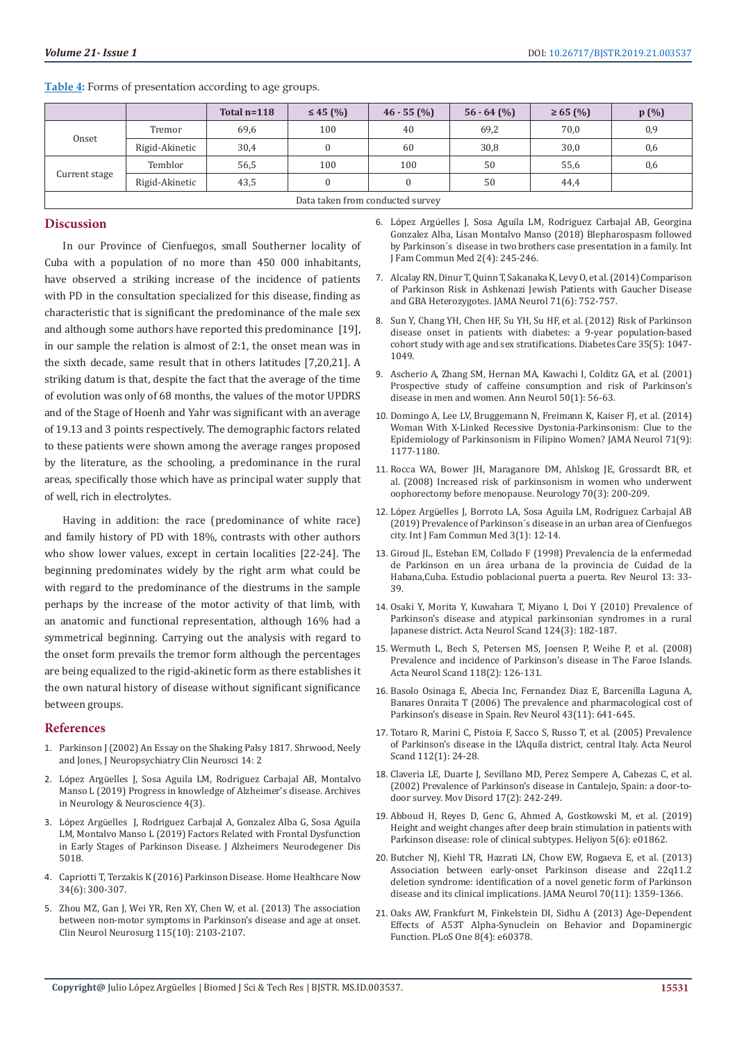|                                  |                | Total $n=118$ | $\leq 45$ (%) | $46 - 55$ (%) | $56 - 64$ (%) | $\geq 65$ (%) | p(%) |
|----------------------------------|----------------|---------------|---------------|---------------|---------------|---------------|------|
| Onset                            | Tremor         | 69,6          | 100           | 40            | 69,2          | 70,0          | 0,9  |
|                                  | Rigid-Akinetic | 30,4          |               | 60            | 30,8          | 30,0          | 0,6  |
| Current stage                    | Temblor        | 56,5          | 100           | 100           | 50            | 55,6          | 0,6  |
|                                  | Rigid-Akinetic | 43,5          |               |               | 50            | 44,4          |      |
| Data taken from conducted survey |                |               |               |               |               |               |      |

**Table 4:** Forms of presentation according to age groups.

#### **Discussion**

In our Province of Cienfuegos, small Southerner locality of Cuba with a population of no more than 450 000 inhabitants, have observed a striking increase of the incidence of patients with PD in the consultation specialized for this disease, finding as characteristic that is significant the predominance of the male sex and although some authors have reported this predominance [19], in our sample the relation is almost of 2:1, the onset mean was in the sixth decade, same result that in others latitudes [7,20,21]. A striking datum is that, despite the fact that the average of the time of evolution was only of 68 months, the values of the motor UPDRS and of the Stage of Hoenh and Yahr was significant with an average of 19.13 and 3 points respectively. The demographic factors related to these patients were shown among the average ranges proposed by the literature, as the schooling, a predominance in the rural areas, specifically those which have as principal water supply that of well, rich in electrolytes.

Having in addition: the race (predominance of white race) and family history of PD with 18%, contrasts with other authors who show lower values, except in certain localities [22-24]. The beginning predominates widely by the right arm what could be with regard to the predominance of the diestrums in the sample perhaps by the increase of the motor activity of that limb, with an anatomic and functional representation, although 16% had a symmetrical beginning. Carrying out the analysis with regard to the onset form prevails the tremor form although the percentages are being equalized to the rigid-akinetic form as there establishes it the own natural history of disease without significant significance between groups.

#### **References**

- 1. [Parkinson J \(2002\) An Essay on the Shaking Palsy 1817. Shrwood, Neely](https://neuro.psychiatryonline.org/doi/pdfplus/10.1176/jnp.14.2.223)  and Jones, [J Neuropsychiatry Clin Neurosci 14: 2](https://neuro.psychiatryonline.org/doi/pdfplus/10.1176/jnp.14.2.223)
- 2. López Argü[elles J, Sosa Aguila LM, Rodriguez Carbajal AB, Montalvo](https://irispublishers.com/ann/pdf/ANN.MS.ID.000589.pdf)  [Manso L \(2019\) Progress in knowledge of Alzheimer's disease. Archives](https://irispublishers.com/ann/pdf/ANN.MS.ID.000589.pdf)  [in Neurology & Neuroscience 4\(3\).](https://irispublishers.com/ann/pdf/ANN.MS.ID.000589.pdf)
- 3. López Argü[elles J, Rodriguez Carbajal A, Gonzalez Alba G, Sosa Aguila](http://www.heraldopenaccess.us/fulltext/Alzheimers-&-Neurodegenerative-Diseases/Factors-Related-with-Frontal-Dysfunction-in-Early-Stages-of-Parkinson-Disease.php)  [LM, Montalvo Manso L \(2019\) Factors Related with Frontal Dysfunction](http://www.heraldopenaccess.us/fulltext/Alzheimers-&-Neurodegenerative-Diseases/Factors-Related-with-Frontal-Dysfunction-in-Early-Stages-of-Parkinson-Disease.php)  [in Early Stages of Parkinson Disease. J Alzheimers Neurodegener Dis](http://www.heraldopenaccess.us/fulltext/Alzheimers-&-Neurodegenerative-Diseases/Factors-Related-with-Frontal-Dysfunction-in-Early-Stages-of-Parkinson-Disease.php)  [5018.](http://www.heraldopenaccess.us/fulltext/Alzheimers-&-Neurodegenerative-Diseases/Factors-Related-with-Frontal-Dysfunction-in-Early-Stages-of-Parkinson-Disease.php)
- 4. [Capriotti T, Terzakis K \(2016\) Parkinson Disease. Home Healthcare Now](https://journals.lww.com/homehealthcarenurseonline/Fulltext/2016/06000/Parkinson_Disease.3.aspx)  [34\(6\): 300-307.](https://journals.lww.com/homehealthcarenurseonline/Fulltext/2016/06000/Parkinson_Disease.3.aspx)
- 5. [Zhou MZ, Gan J, Wei YR, Ren XY, Chen W, et al. \(2013\) The association](https://www.ncbi.nlm.nih.gov/pubmed/23962754)  [between non-motor symptoms in Parkinson's disease and age at onset.](https://www.ncbi.nlm.nih.gov/pubmed/23962754)  [Clin Neurol Neurosurg 115\(10\): 2103-2107.](https://www.ncbi.nlm.nih.gov/pubmed/23962754)

6. López Argú[elles J, Sosa Aguila LM, Rodriguez Carbajal AB,](https://www.researchgate.net/publication/328124367_Blepharospasm_followed_by_Parkinson) Georgina [Gonzalez Alba, Lisan Montalvo Manso \(2018\) Blepharospasm followed](https://www.researchgate.net/publication/328124367_Blepharospasm_followed_by_Parkinson) [by Parkinson´s disease in two brothers case presentation in a family. Int](https://www.researchgate.net/publication/328124367_Blepharospasm_followed_by_Parkinson) [J Fam Commun Med 2\(4\): 245-246.](https://www.researchgate.net/publication/328124367_Blepharospasm_followed_by_Parkinson)

- 7. [Alcalay RN, Dinur T, Quinn T, Sakanaka K, Levy O, et al. \(2014\) Comparison](https://www.ncbi.nlm.nih.gov/pubmed/24756352) [of Parkinson Risk in Ashkenazi Jewish Patients with Gaucher Disease](https://www.ncbi.nlm.nih.gov/pubmed/24756352) [and GBA Heterozygotes. JAMA Neurol 71\(6\): 752-757.](https://www.ncbi.nlm.nih.gov/pubmed/24756352)
- 8. [Sun Y, Chang YH, Chen HF, Su YH, Su HF, et al. \(2012\) Risk of Parkinson](https://www.ncbi.nlm.nih.gov/pubmed/22432112) [disease onset in patients with diabetes: a 9-year population-based](https://www.ncbi.nlm.nih.gov/pubmed/22432112) [cohort study with age and sex stratifications. Diabetes Care 35\(5\): 1047-](https://www.ncbi.nlm.nih.gov/pubmed/22432112) [1049.](https://www.ncbi.nlm.nih.gov/pubmed/22432112)
- 9. [Ascherio A, Zhang SM, Hernan MA, Kawachi I, Colditz GA, et al. \(2001\)](https://www.ncbi.nlm.nih.gov/pubmed/11456310) [Prospective study of caffeine consumption and risk of Parkinson's](https://www.ncbi.nlm.nih.gov/pubmed/11456310) [disease in men and women. Ann Neurol 50\(1\): 56-63.](https://www.ncbi.nlm.nih.gov/pubmed/11456310)
- 10. [Domingo A, Lee LV, Bruggemann N, Freimann K, Kaiser FJ, et al. \(2014\)](https://www.ncbi.nlm.nih.gov/pubmed/25004170) [Woman With X-Linked Recessive Dystonia-Parkinsonism: Clue to the](https://www.ncbi.nlm.nih.gov/pubmed/25004170) [Epidemiology of Parkinsonism in Filipino Women? JAMA Neurol 71\(9\):](https://www.ncbi.nlm.nih.gov/pubmed/25004170) [1177-1180.](https://www.ncbi.nlm.nih.gov/pubmed/25004170)
- 11. [Rocca WA, Bower JH, Maraganore DM, Ahlskog JE, Grossardt BR, et](https://www.ncbi.nlm.nih.gov/pubmed/17761549) [al. \(2008\) Increased risk of parkinsonism in women who underwent](https://www.ncbi.nlm.nih.gov/pubmed/17761549) [oophorectomy before menopause. Neurology 70\(3\): 200-209.](https://www.ncbi.nlm.nih.gov/pubmed/17761549)
- 12. López Argü[elles J, Borroto LA, Sosa Aguila LM, Rodriguez Carbajal AB](https://www.researchgate.net/publication/330636791_Prevalence_of_Parkinson) [\(2019\) Prevalence of Parkinson´s disease in an urban area of Cienfuegos](https://www.researchgate.net/publication/330636791_Prevalence_of_Parkinson) [city. Int J Fam Commun Med 3\(1\): 12-14.](https://www.researchgate.net/publication/330636791_Prevalence_of_Parkinson)
- 13. Giroud JL, Esteban EM, Collado F (1998) Prevalencia de la enfermedad de Parkinson en un área urbana de la provincia de Cuidad de la Habana,Cuba. Estudio poblacional puerta a puerta. Rev Neurol 13: 33- 39.
- 14. [Osaki Y, Morita Y, Kuwahara T, Miyano I, Doi Y \(2010\) Prevalence of](https://www.ncbi.nlm.nih.gov/pubmed/20880268) [Parkinson's disease and atypical parkinsonian syndromes in a rural](https://www.ncbi.nlm.nih.gov/pubmed/20880268) [Japanese district. Acta Neurol Scand 124\(3\): 182-187.](https://www.ncbi.nlm.nih.gov/pubmed/20880268)
- 15. [Wermuth L, Bech S, Petersen MS, Joensen P, Weihe P, et al. \(2008\)](https://www.ncbi.nlm.nih.gov/pubmed/18294341) [Prevalence and incidence of Parkinson's disease in The Faroe Islands.](https://www.ncbi.nlm.nih.gov/pubmed/18294341) [Acta Neurol Scand 118\(2\): 126-131.](https://www.ncbi.nlm.nih.gov/pubmed/18294341)
- 16. [Basolo Osinaga E, Abecia Inc, Fernandez Diaz E, Barcenilla Laguna A,](https://www.ncbi.nlm.nih.gov/pubmed/17133323) [Banares Onraita T \(2006\) The prevalence and pharmacological cost of](https://www.ncbi.nlm.nih.gov/pubmed/17133323) [Parkinson's disease in Spain. Rev Neurol 43\(11\): 641-645.](https://www.ncbi.nlm.nih.gov/pubmed/17133323)
- 17. [Totaro R, Marini C, Pistoia F, Sacco S, Russo T, et al. \(2005\) Prevalence](https://www.ncbi.nlm.nih.gov/pubmed/15932352) [of Parkinson's disease in the L'Aquila district, central Italy. Acta Neurol](https://www.ncbi.nlm.nih.gov/pubmed/15932352) [Scand 112\(1\): 24-28.](https://www.ncbi.nlm.nih.gov/pubmed/15932352)
- 18. [Claveria LE, Duarte J, Sevillano MD, Perez Sempere A, Cabezas C, et al.](https://www.ncbi.nlm.nih.gov/pubmed/11921108) [\(2002\) Prevalence of Parkinson's disease in Cantalejo, Spain: a door-to](https://www.ncbi.nlm.nih.gov/pubmed/11921108)[door survey. Mov Disord 17\(2\): 242-249.](https://www.ncbi.nlm.nih.gov/pubmed/11921108)
- 19. [Abboud H, Reyes D, Genc G, Ahmed A, Gostkowski M, et al. \(2019\)](https://www.ncbi.nlm.nih.gov/pmc/articles/PMC6600002/) [Height and weight changes after deep brain stimulation in patients with](https://www.ncbi.nlm.nih.gov/pmc/articles/PMC6600002/) [Parkinson disease: role of clinical subtypes. Heliyon 5\(6\): e01862.](https://www.ncbi.nlm.nih.gov/pmc/articles/PMC6600002/)
- 20. [Butcher NJ, Kiehl TR, Hazrati LN, Chow EW, Rogaeva E, et al. \(2013\)](https://www.ncbi.nlm.nih.gov/pubmed/24018986) [Association between early-onset Parkinson disease and 22q11.2](https://www.ncbi.nlm.nih.gov/pubmed/24018986) [deletion syndrome: identification of a novel genetic form of Parkinson](https://www.ncbi.nlm.nih.gov/pubmed/24018986) [disease and its clinical implications. JAMA Neurol 70\(11\): 1359-1366.](https://www.ncbi.nlm.nih.gov/pubmed/24018986)
- 21. [Oaks AW, Frankfurt M, Finkelstein DI, Sidhu A \(2013\) Age-Dependent](https://www.ncbi.nlm.nih.gov/pubmed/23560093) [Effects of A53T Alpha-Synuclein on Behavior and Dopaminergic](https://www.ncbi.nlm.nih.gov/pubmed/23560093) [Function. PLoS One 8\(4\): e60378.](https://www.ncbi.nlm.nih.gov/pubmed/23560093)